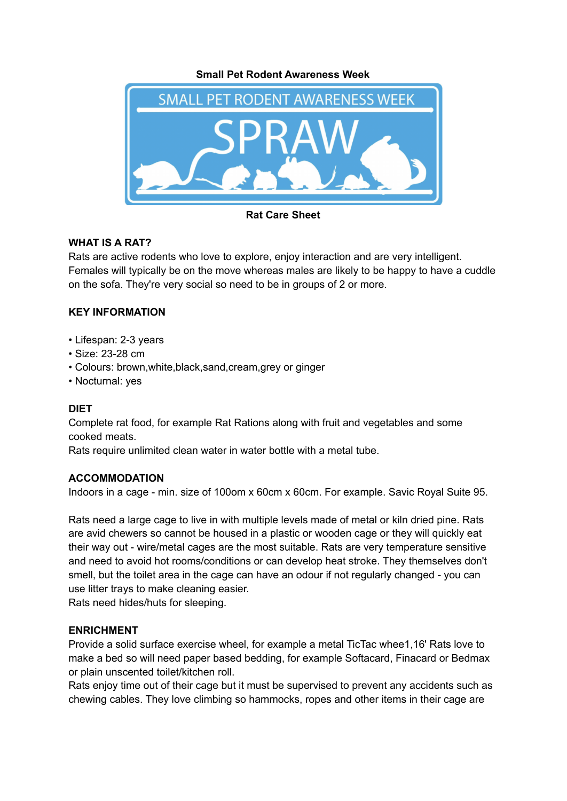**Small Pet Rodent Awareness Week**



**Rat Care Sheet**

# **WHAT IS A RAT?**

Rats are active rodents who love to explore, enjoy interaction and are very intelligent. Females will typically be on the move whereas males are likely to be happy to have a cuddle on the sofa. They're very social so need to be in groups of 2 or more.

# **KEY INFORMATION**

- Lifespan: 2-3 years
- Size: 23-28 cm
- Colours: brown,white,black,sand,cream,grey or ginger
- Nocturnal: yes

# **DIET**

Complete rat food, for example Rat Rations along with fruit and vegetables and some cooked meats.

Rats require unlimited clean water in water bottle with a metal tube.

### **ACCOMMODATION**

Indoors in a cage - min. size of 100om x 60cm x 60cm. For example. Savic Royal Suite 95.

Rats need a large cage to live in with multiple levels made of metal or kiln dried pine. Rats are avid chewers so cannot be housed in a plastic or wooden cage or they will quickly eat their way out - wire/metal cages are the most suitable. Rats are very temperature sensitive and need to avoid hot rooms/conditions or can develop heat stroke. They themselves don't smell, but the toilet area in the cage can have an odour if not regularly changed - you can use litter trays to make cleaning easier.

Rats need hides/huts for sleeping.

# **ENRICHMENT**

Provide a solid surface exercise wheel, for example a metal TicTac whee1,16' Rats love to make a bed so will need paper based bedding, for example Softacard, Finacard or Bedmax or plain unscented toilet/kitchen roll.

Rats enjoy time out of their cage but it must be supervised to prevent any accidents such as chewing cables. They love climbing so hammocks, ropes and other items in their cage are